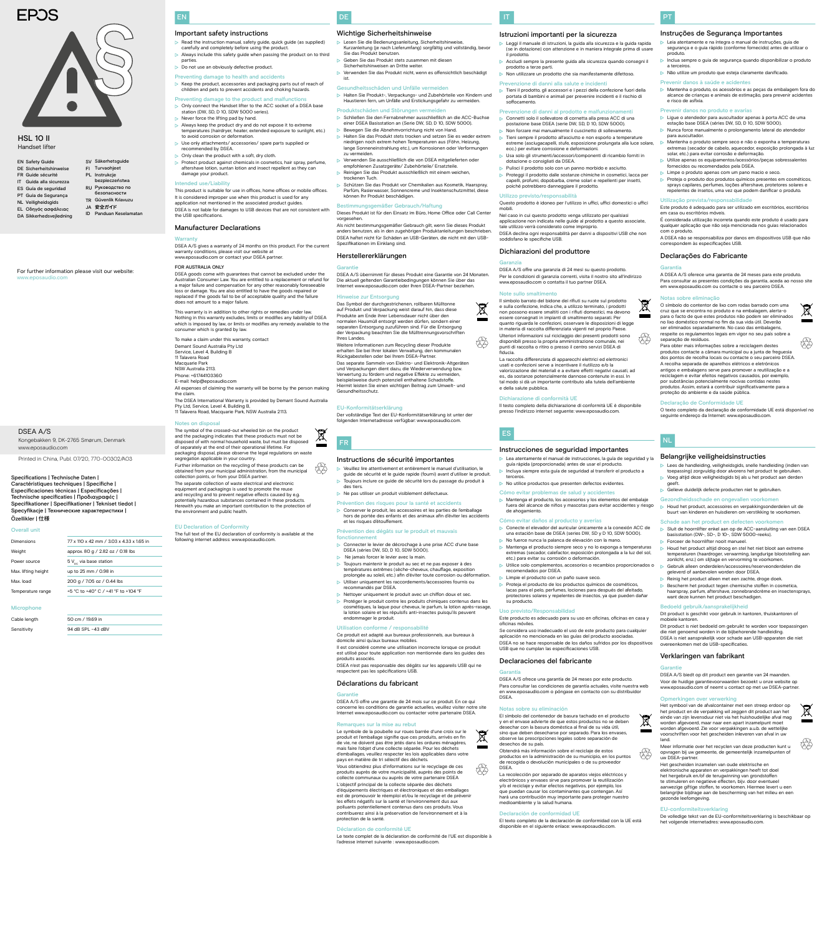## DE

- Lesen Sie die Bedienungsanleitung, Sicherheitshinweise, Kurzanleitung (je nach Lieferumfang) sorgfältig und vollständig, bevor Sie das Produkt benutzen.
- Geben Sie das Produkt stets zusammen mit diesen Sicherheitshinweisen an Dritte weiter.
- Verwenden Sie das Produkt nicht, wenn es offensichtlich beschädigt ist.
- Gesundheitsschäden und Unfälle vermeiden Halten Sie Produkt-, Verpackungs- und Zubehörteile von Kindern und Haustieren fern, um Unfälle und Erstickungsgefahr zu vermeiden.  $\triangleright$  Keep the product, accessories and packaging parts out of reach of

## Wichtige Sicherheitshinweise

## Produktschäden und Störungen ver

- Schließen Sie den Fernabnehmer ausschließlich an die ACC-Buchse einer DSEA Basisstation an (Serie DW, SD, D 10, SDW 5000). Bewegen Sie die Abnehmvorrichtung nicht von Hand.
- Halten Sie das Produkt stets trocken und setzen Sie es weder extrem niedrigen noch extrem hohen Temperaturen aus (Föhn, Heizung, lange Sonneneinstrahlung etc.), um Korrosionen oder Verformungen zu vermeiden.
- Verwenden Sie ausschließlich die von DSEA mitgelieferten oder empfohlenen Zusatzgeräte/ Zubehörteile/ Ersatzteile. Reinigen Sie das Produkt ausschließlich mit einem weichen,
- trockenen Tuch. Schützen Sie das Produkt vor Chemikalien aus Kosmetik, Haarspray, Parfüm, Rasierwasser, Sonnencreme und Insektenschutzmittel, diese können Ihr Produkt beschädigen.

Dieses Produkt ist für den Einsatz im Büro, Home Office oder Call Center vorgesehen.

Als nicht bestimmungsgemäßer Gebrauch gilt, wenn Sie dieses Produkt anders benutzen, als in den zugehörigen Produktanleitungen beschrieben. DSEA haftet nicht für Schäden an USB-Geräten, die nicht mit den USB-Spezifikationen im Einklang sind.

#### Herstellererklärungen

#### **Garantie**

- $\triangleright$  Veuillez lire attentivement et entièrement le manuel d'utilisation, le guide de sécurité et le guide rapide (fourni) avant d'utiliser le produit.
- Toujours inclure ce guide de sécurité lors du passage du produit à des tiers.
- $\triangleright$  Ne pas utiliser un produit visiblement défectueux
- Prévention des risques pour la santé et accidents Conserver le produit, les accessoires et les parties de l'emballage hors de portée des enfants et des animaux afin d'éviter les accidents et les risques d'étouffement.

DSEA A/S übernimmt für dieses Produkt eine Garantie von 24 Monaten. Die aktuell geltenden Garantiebedingungen können Sie über das Internet www.eposaudio.com oder Ihren DSEA-Partner beziehen.

#### Hinweise zur Entsorgung

Das Symbol der durchgestrichenen, rollbaren Mülltonne auf Produkt und Verpackung weist darauf hin, dass diese Produkte am Ende ihrer Lebensdauer nicht über den normalen Hausmüll entsorgt werden dürfen, sondern einer separaten Entsorgung zuzuführen sind. Für die Entsorgung der Verpackung beachten Sie die Mülltrennungsvorschriften Ihres Landes.

- Il est considéré comme une utilisation incorrecte lorsque ce produit est utilisé pour toute application non mentionnée dans les guides des produits associés.
- DSEA n'est pas responsable des dégâts sur les appareils USB qui ne respectent pas les spécifications US

Weitere Informationen zum Recycling dieser Produkte erhalten Sie bei Ihrer lokalen Verwaltung, den kommunalen Rückgabestellen oder bei Ihrem DSEA-Partner. Das separate Sammeln von Elektro- und Elektronik-Altgeräten und Verpackungen dient dazu, die Wiederverwendung bzw. Verwertung zu fördern und negative Effekte zu vermeiden, beispielsweise durch potenziell enthaltene Schadstoffe. Hiermit leisten Sie einen wichtigen Beitrag zum Umwelt- und Gesundheitsschutz.

#### EU-Konformitätserklärung

Der vollständige Text der EU-Konformitätserklärung ist unter der folgenden Internetadresse verfügbar: www.eposaudio.com.



 $\bigotimes_{i=1}^{n}$ 

#### Instructions de sécurité importantes

Le texte complet de la déclaration de conformité de l'UE est disponible à l'adresse internet suivante : www.eposaudio.com.

## Prévention des dégâts sur le produit et mauvais

#### fonctionnement

- Connecter le levier de décrochage à une prise ACC d'une base DSEA (séries DW, SD, D 10, SDW 5000). Ne jamais forcer le levier avec la main
- 
- Toujours maintenir le produit au sec et ne pas exposer à des températures extrêmes (sèche-cheveux, chauffage, exposition prolongée au soleil, etc.) afin d'éviter toute corrosion ou déformation. Utiliser uniquement les raccordements/accessoires fournis ou
- recommandés par DSEA.  $\triangleright$  Nettoyer uniquement le produit avec un chiffon doux et sec.
- Protéger le produit contre les produits chimiques contenus dans les cosmétiques, la laque pour cheveux, le parfum, la lotion après-rasage, la lotion solaire et les répulsifs anti-insectes puisqu'ils peuvent endommager le produit.

#### Utilisation conforme / responsabilité

Ce produit est adapté aux bureaux professionnels, aux bureaux à domicile ainsi qu'aux bureaux mobiles.

DSEA A/S offre una garanzia di 24 mesi su questo prodotto. Per le condizioni di garanzia correnti, visita il nostro sito all'indirizzo osaudio.com o contatta il tuo partner DSEA.

Il simbolo barrato del bidone dei rifiuti su ruote sul prodotto e sulla confezione, indica che, a utilizzo terminato, i prodotti non possono essere smaltiti con i rifiuti domestici, ma devono essere consegnati in impianti di smaltimento separati. Per quanto riguarda le confezioni, osservare le disposizioni di legge in materia di raccolta differenziata vigenti nel proprio Paese. Ulteriori informazioni sul riciclaggio dei presenti prodotti sono disponibili presso la propria amministrazione comunale, nei punti di raccolta o ritiro o presso il centro servizi DSEA di fiducia.  $\bigotimes_{i=1}^{n}$ 

#### Déclarations du fabricant

## Garantie

DSEA A/S offre une garantie de 24 mois sur ce produit. En ce qui

concerne les conditions de garantie actuelles, veuillez visiter notre site Internet www.eposaudio.com ou contacter votre partenaire DSEA.

#### es sur la mise au rebut

Il testo completo della dichiarazione di conformità UE è disponibile presso l'indirizzo internet seguente: www.eposaudio.cor

Le symbole de la poubelle sur roues barrée d'une croix sur le produit et l'emballage signifie que ces produits, arrivés en fin de vie, ne doivent pas être jetés dans les ordures ménagères, nais faire l'objet d'une collecte séparée. Pour les déch d'emballages, veuillez respecter les lois applicables dans votre pays en matière de tri sélectif des déchets.

- $\triangleright$  Lea atentamente el manual de instrucciones, la guía de seguridad y la guía rápida (proporcionada) antes de usar el producto.
- Incluya siempre esta guía de seguridad al transferir el producto a terceros.

## $\triangleright$  No utilice productos que presenten defectos evidentes.

Cómo evitar problemas de salud y accidentes  $\triangleright$  Mantenga el producto, los accesorios y los elementos del embalaje fuera del alcance de niños y mascotas para evitar accidentes y riesgo de ahogamiento.

Vous obtiendrez plus d'informations sur le recyclage de ces produits auprès de votre municipalité, auprès des poi collecte communaux ou auprès de votre partenaire DSEA

L'objectif principal de la collecte séparée des déchets d'équipements électriques et électroniques et des emballages est de promouvoir le réemploi et/ou le recyclage et de prévenir les effets négatifs sur la santé et l'environnement dus aux polluants potentiellement contenus dans ces produits. Vous contribuerez ainsi à la préservation de l'environnement et à la protection de la santé.

#### Déclaration de conformité UE

DSEA A/S ofrece una garantía de 24 meses por este producto. Para consultar las condiciones de garantía actuales, visite nuestra web en www.eposaudio.com o póngase en contacto con su distribuidor DSEA.

## Specifications | Technische Daten |

Caractéristiques techniques | Specifiche | Especificaciones técnicas | Especificações | Technische specificaties | Προδιαγραφές | Specifikationer | Specifikationer | Tekniset tiedot | Specyfikacje | Технические характеристики |

## Özellikler | 仕様

## Overall unit

| Dimensions          | 77 x 110 x 42 mm / 3.03 x 4.33 x 1.65 in |  |  |
|---------------------|------------------------------------------|--|--|
| Weight              | approx. 80 g / 2.82 oz / 0.18 lbs        |  |  |
| Power source        | $5V_{\text{nc}}$ via base station        |  |  |
| Max. lifting height | up to 25 mm / 0.98 in                    |  |  |
| Max. load           | 200 g / 7.05 oz / 0.44 lbs               |  |  |
| Temperature range   | +5 °C to +40° C / +41 °F to +104 °F      |  |  |
|                     |                                          |  |  |

El texto completo de la declaración de conformidad con la UE está e en el siguiente enlace: www.eposaudio.com

## Microphone

Cable length 50 cm / 19.69 in Sensitivity 94 dB SPL –43 dBV

For further information please visit our website: www.eposaudio.com

 Mantenha o produto, os acessórios e as peças da embalagem fora do alcance de crianças e animais de estimação, para prevenir acidentes

| <b>EN Safety Guide</b>        |    | SV Säkerhetsguide           |
|-------------------------------|----|-----------------------------|
| <b>DE Sicherheitshinweise</b> |    | FI Turvaohjeet              |
| FR Guide sécurité             |    | PL Instrukcje               |
| Guida alla sicurezza          |    | bezpieczeństwa              |
| ES Guía de seguridad          |    | RU Руководство по           |
| PT Guia de Segurança          |    | безопасности                |
| <b>NL Veiligheidsgids</b>     |    | <b>TR</b> Güvenlik Kılavuzu |
| <b>EL Οδηγός ασφάλειας</b>    |    | JA 安全ガイド                    |
| DA Sikkerhedsvejledning       | ID | Panduan Keselamatan         |
|                               |    |                             |

fornecidos ou recomendados pela DSEA.  $\triangleright$  Limpe o produto apenas com um pano macio e seco.

## **EPOS**



IT

#### Istruzioni importanti per la sicurezza

É considerada utilização incorreta quando este produto é usado para qualquer aplicação que não seja mencionada nos quias relacionados

- Leggi il manuale di istruzioni, la guida alla sicurezza e la guida rapida (se in dotazione) con attenzione e in maniera integrale prima di usare il prodotto.
- Accludi sempre la presente guida alla sicurezza quando consegni il prodotto a terze parti. Non utilizzare un prodotto che sia manifestamente difettoso.

### Prevenzione di danni alla salute e incidenti

 Tieni il prodotto, gli accessori e i pezzi della confezione fuori della portata di bambini e animali per prevenire incidenti e il rischio di soffocamento.

#### Prevenzione di danni al prodotto e malfunzionale

- Connetti solo il sollevatore di cornetta alla presa ACC di una postazione base DSEA (serie DW, SD, D 10, SDW 5000). Non forzare mai manualmente il cuscinetto di sollevamento.
- Tieni sempre il prodotto all'asciutto e non esporlo a temperature estreme (asciugacapelli, stufe, esposizione prolungata alla luce solare, ecc.) per evitare corrosione e deformazioni.
- Usa solo gli strumenti/accessori/componenti di ricambio forniti in dotazione o consigliati da DSEA.
- $\triangleright$  Pulisci il prodotto solo con un panno morbido e asciutto.
- Proteggi il prodotto dalle sostanze chimiche in cosmetici, lacca per capelli, profumi, dopobarba, creme solari e repellenti per insetti, poiché potrebbero danneggiare il prodotto.

**Lees de handleiding, veiligheidsgids, snelle handleiding (indien van** toepassing) zorgvuldig door alvorens het product te gebruiken. Voeg altijd deze veiligheidsgids bij als u het product aan derden

 Gelieve duidelijk defecte producten niet te gebruiken. Gezondheidsschade en ongevallen voorko

Schade aan het product en defecten voor

 Houd het product, accessoires en verpakkingsonderdelen uit de buurt van kinderen en huisdieren om verstikking te voorkom

### Utilizzo previsto/responsabilità

Questo prodotto è idoneo per l'utilizzo in uffici, uffici domestici o uffici mobili.

Nel caso in cui questo prodotto venga utilizzato per qualsiasi applicazione non indicata nelle guide al prodotto a questo associate, tale utilizzo verrà considerato come improprio. DSEA declina ogni responsabilità per danni a dispositivi USB che non soddisfano le specifiche USB.

#### Dichiarazioni del produttore

#### Garanzia

#### Note sullo smaltimento

Meer informatie over het recyclen van deze producten kunt u opvragen bij uw gemeente, de gemeentelijk inzamelpunten of uw DSEA-partne

## **HSL 10 II** Handset lifter

Do not use an obviously defective product. Preventing damage to health and accidents

station (DW, SD, D 10, SDW 5000 series).  $\triangleright$  Never force the lifting pad by hand.

> La raccolta differenziata di apparecchi elettrici ed elettronici usati e confezioni serve a incentivare il riutilizzo e/o la valorizzazione dei materiali e a evitare effetti negativi causati, ad es., da sostanze potenzialmente dannose contenute in essi. In tal modo si dà un importante contributo alla tutela dell'ambiente e della salute pubblica.

 $\triangleright$  Always keep the product dry and do not expose it to extreme temperatures (hairdryer, heater, extended exposure to sunlight, etc.)

#### Dichiarazione di conformità UE

This product is suitable for use in offices, home offices or mobile offices. It is considered improper use when this product is used for any application not mentioned in the associated product guides.

## ES

43

 $\cancel{\mathbb{Z}}$ 

## Instrucciones de seguridad importantes

This warranty is in addition to other rights or remedies under law. Nothing in this warranty excludes, limits or modifies any liability of DSEA which is imposed by law, or limits or modifies any remedy available to the

#### Cómo evitar daños al producto y averías

ner which is granted by law To make a claim under this warranty, contact Demant Sound Australia Pty Ltd Service, Level 4, Building B 11 Talavera Road Macquarie Park NSW Australia 2113. Phone: +61744103360 E-mail: help@eposaudio.com

#### Bestimmungsgemäßer Gebrauch/Haftung DSEA is not liable for damages to USB devices that are not consistent with

- Conecte el elevador del auricular únicamente a la conexión ACC de una estación base de DSEA (series DW, SD y D 10, SDW 5000). No fuerce nunca la palanca de elevación con la mano.
- $\triangleright$  Mantenga el producto siempre seco y no lo exponga a temperaturas extremas (secador, calefactor, exposición prolongada a la luz del sol, etc.) para evitar su corrosión o deformación.
- Utilice solo complementos, accesorios o recambios proporcionados o recomendados por DSEA.
- **Limpie el producto con un paño suave seco.**
- **Proteja el producto de los productos químicos de cosméticos,** lacas para el pelo, perfumes, lociones para después del afeitado, protectores solares y repelentes de insectos, ya que pueden dañar su producto.

#### Uso previsto/Responsabilidad

Este producto es adecuado para su uso en oficinas, oficinas en casa y oficinas móviles.

Se considera uso inadecuado el uso de este producto para cualquier aplicación no mencionada en las guías del producto asociadas. DSEA no se hace responsable de los daños sufridos por los dispositivos USB que no cumplan las especificaciones USB.

### Declaraciones del fabricante

### Garantía

 $\bigotimes_{i=1}^{n} \bigotimes_{i=1}^{n}$ 

#### Notas sobre su eliminación

El símbolo del contenedor de basura tachado en el producto y en el envase advierte de que estos productos no se deben desechar con la basura doméstica al final de su vida útil, sino que deben desecharse por separado. Para los envases, observe las prescripciones legales sobre separación de desechos de su país.

Obtendrá más información sobre el reciclaje de estos productos en la administración de su municipio, en los puntos de recogida o devolución municipales o de su provee DSEA.

La recolección por separado de aparatos viejos eléctricos y electrónicos y envases sirve para promover la reutilización y/o el reciclaje y evitar efectos negativos, por ejemplo, los que puedan causar los contaminantes que contengan. Así hará una contribución muy importante para proteger nuestro medioambiente y la salud humana.

#### Declaración de conformidad UE

PT

## Instruções de Segurança Importantes

- Leia atentamente e na íntegra o manual de instruções, guia de segurança e o guia rápido (conforme fornecido) antes de utilizar o produto.
- Inclua sempre o guia de segurança quando disponibilizar o produto a terceiros. Não utilize um produto que esteja claramente danificado.

e risco de asfixia.

Prevenir danos no produto e avarias

 Ligue o atendedor para auscultador apenas à porta ACC de uma estação base DSEA (séries DW, SD, D 10, SDW 5000). Nunca force manualmente o prolongamento lateral do atendedor

⊳ Mantenha o produto sempre seco e não o exponha a temperaturas<br>extremas (secador de cabelo, aquecedor, exposição prolongada à luz<br>solar, etc.) para evitar corrosão e deformação. Utilize apenas os equipamentos/acessórios/peças sobres

para auscultador.

 Proteja o produto dos produtos químicos presentes em cosméticos, sprays capilares, perfumes, loções aftershave, protetores solares e repelentes de insetos, uma vez que podem danificar o produto.

Utilização prevista/responsabilidade

Este produto é adequado para ser utilizado em escritórios, escritórios

em casa ou escritórios móveis.

com o produto.

**Garantia** 

A DSEA não se responsabiliza por danos em dispositivos USB que não

correspondem às especificações USB. Declarações do Fabricante

A DSEA A/S oferece uma garantia de 24 meses para este produto. Para consultar as presentes condições da garantia, aceda ao nosso site em www.eposaudio.com ou contacte o seu parceiro DSEA.

Notas sobre eliminação

O símbolo do contentor de lixo com rodas barrado com uma cruz que se encontra no produto e na embalagem, alerta-o para o facto de que estes produtos não podem ser eliminados no lixo doméstico normal no fim da sua vida útil. Deverão ser eliminados separadamente. No caso das embalagens respeite os regulamentos legais em vigor no seu país sobre a separação de resíduos. Para obter mais informações sobre a reciclagem destes produtos contacte a câmara municipal ou a junta de freguesia dos pontos de recolha locais ou contacte o seu parceiro DSEA. A recolha separada de aparelhos elétricos e eletrónicos antigos e embalagens serve para promover a reutilização e a reciclagem e evitar efeitos negativos causados, por exemplo, por substâncias potencialmente nocivas contidas nestes produtos. Assim, estará a contribuir significativamente para a

proteção do ambiente e da saúde pública.

Declaração de Conformidade UE

O texto completo da declaração de conformidade UE está disponível no

seguinte endereço da Internet: www.eposaudio.com.

Belangrijke veiligheidsinstructies

geeft.

mobiele kantore

**Garantie** 

Sluit de hoornlifter enkel aan op de ACC-aansluiting van een DSEA basisstation (DW-, SD-, D 10-, SDW 5000-reeks).

Forceer de hoornlifter nooit manueel.

 Houd het product altijd droog en stel het niet bloot aan extreme temperaturen (haardroger, verwarming, langdurige blootstelling aan zonlicht, enz.) om slijtage en vervorming te voorkomen. Gebruik alleen onderdelen/accessoires/reserveonderdelen die

geleverd of aanbevolen worden door DSEA. Reinig het product alleen met een zachte, droge doek. Bescherm het product tegen chemische stoffen in cosmetica, haarspray, parfum, aftershave, zonnebrandcrème en insectensprays,

want deze kunnen het product beschadigen. Bedoeld gebruik/aansprakelijkheid

Dit product is geschikt voor gebruik in kantoren, thuiskantoren of

Dit product is niet bedoeld om gebruikt te worden voor toepassingen die niet genoemd worden in de bijbehorende handleiding. DSEA is niet aansprakelijk voor schade aan USB-apparaten die niet

## Prevenir danos à saúde e acidentes

overeenkomen met de USB-specificaties. Verklaringen van fabrikant

DSEA A/S biedt op dit product een garantie van 24 maanden. Voor de huidige garantievoorwaarden bezoekt u onze website op www.eposaudio.com of neemt u contact op met uw DSEA-partner.

Opmerkingen over verwerking

Het symbool van de afvalcontainer met een streep erdoor op het product en de verpakking wil zeggen dit product aan het einde van zijn levensduur niet via het huishoudelijke afval mag worden afgevoerd, maar naar een apart inzamelpunt moet worden afgevoerd. Zie voor verpakkingen a.u.b. de wettelijke voorschriften voor het gescheiden inleveren van afval in uw land.

Het gescheiden inzamelen van oude elektrische en elektronische apparaten en verpakkingen heeft tot doel het hergebruik en/of de terugwinning van grondstoffen te stimuleren en negatieve effecten, bijv. door eventueel aanwezige giftige stoffen, te voorkomen. Hiermee levert u een belangrijke bijdrage aan de bescherming van het milieu en een gezonde leefomgeving.



#### EU-conformiteitsverklaring

 $\frac{1}{\sqrt{2}}$ 

De volledige tekst van de EU-conformiteitsverklaring is beschikbaar op het volgende internetadres: www.eposaudio.com.



44

 $\cancel{\mathbb{R}}$ 

Kongebakken 9, DK-2765 Smørum, Denmark www.eposaudio.com DSEA A/S

Printed in China, Publ. 07/20, 770-00302/A03

EN

Important safety instructions

parties.

children and pets to prevent accidents and choking hazards. nting damage to the product and mal Only connect the Handset lifter to the ACC socket of a DSEA base

to avoid corrosion or deformation.

Use only attachments/ accessories/ spare parts supplied or

recommended by DSEA.

amage your product. nded use/Liability

Only clean the product with a soft, dry cloth.

 Protect product against chemicals in cosmetics, hair spray, perfume, aftershave lotion, suntan lotion and insect repellent as they can

the USB specifications.

Manufacturer Declarations

Warranty

DSEA A/S gives a warranty of 24 months on this product. For the current

warranty conditions, please visit our website at www.eposaudio.com or contact your DSEA partner.

FOR AUSTRALIA ONLY

DSEA goods come with guarantees that cannot be excluded under the Australian Consumer Law. You are entitled to a replacement or refund for a major failure and compensation for any other reasonably foreseeable loss or damage. You are also entitled to have the goods repaired or replaced if the goods fail to be of acceptable quality and the failure

does not amount to a major failure.

All expenses of claiming the warranty will be borne by the person making

the claim.

The DSEA International Warranty is provided by Demant Sound Australia

Pty Ltd, Service, Level 4, Building B, 11 Talavera Road, Macquarie Park, NSW Australia 2113.

Notes on disposal

carefully and completely before using the product

 $\triangleright$  Read the instruction manual, safety guide, quick guide (as supplied)

 $\triangleright$  Always include this safety guide when passing the product on to third

The symbol of the crossed-out wheeled bin on the product and the packaging indicates that these products must not be disposed of with normal household waste, but must be disposed of separately at the end of their operational lifetime. For packaging disposal, please observe the legal regulations on waste

segregation applicable in your country.

Further information on the recycling of these products can be obtained from your municipal administration, from the municipal

collection points, or from your DSEA partner. The separate collection of waste electrical and electronic equipment and packagings is used to promote the reuse and recycling and to prevent negative effects caused by e.g. potentially hazardous substances contained in these products. Herewith you make an important contribution to the protection of

the environment and public health.

EU Declaration of Conformity

The full text of the EU declaration of conformity is available at the

following internet address: www.eposaudio.com.